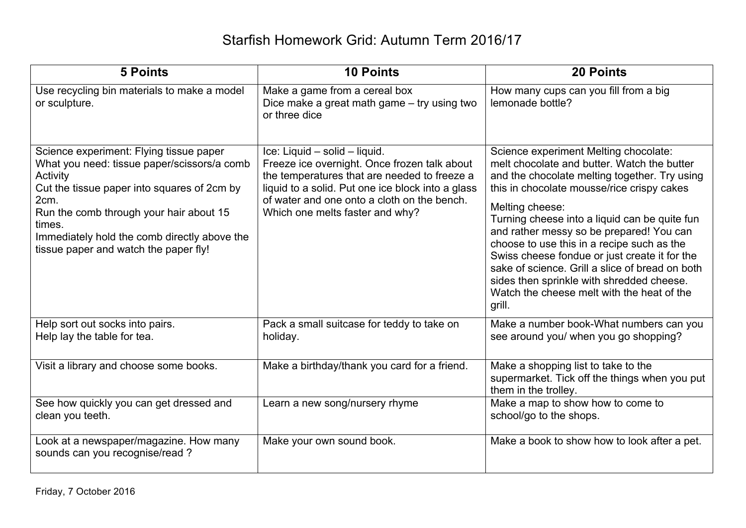| <b>5 Points</b>                                                                                                                                                                                                                                                                                         | <b>10 Points</b>                                                                                                                                                                                                                                                     | <b>20 Points</b>                                                                                                                                                                                                                                                                                                                                                                                                                                                                                                                                           |
|---------------------------------------------------------------------------------------------------------------------------------------------------------------------------------------------------------------------------------------------------------------------------------------------------------|----------------------------------------------------------------------------------------------------------------------------------------------------------------------------------------------------------------------------------------------------------------------|------------------------------------------------------------------------------------------------------------------------------------------------------------------------------------------------------------------------------------------------------------------------------------------------------------------------------------------------------------------------------------------------------------------------------------------------------------------------------------------------------------------------------------------------------------|
| Use recycling bin materials to make a model<br>or sculpture.                                                                                                                                                                                                                                            | Make a game from a cereal box<br>Dice make a great math game - try using two<br>or three dice                                                                                                                                                                        | How many cups can you fill from a big<br>lemonade bottle?                                                                                                                                                                                                                                                                                                                                                                                                                                                                                                  |
| Science experiment: Flying tissue paper<br>What you need: tissue paper/scissors/a comb<br>Activity<br>Cut the tissue paper into squares of 2cm by<br>2cm.<br>Run the comb through your hair about 15<br>times.<br>Immediately hold the comb directly above the<br>tissue paper and watch the paper fly! | Ice: Liquid - solid - liquid.<br>Freeze ice overnight. Once frozen talk about<br>the temperatures that are needed to freeze a<br>liquid to a solid. Put one ice block into a glass<br>of water and one onto a cloth on the bench.<br>Which one melts faster and why? | Science experiment Melting chocolate:<br>melt chocolate and butter. Watch the butter<br>and the chocolate melting together. Try using<br>this in chocolate mousse/rice crispy cakes<br>Melting cheese:<br>Turning cheese into a liquid can be quite fun<br>and rather messy so be prepared! You can<br>choose to use this in a recipe such as the<br>Swiss cheese fondue or just create it for the<br>sake of science. Grill a slice of bread on both<br>sides then sprinkle with shredded cheese.<br>Watch the cheese melt with the heat of the<br>grill. |
| Help sort out socks into pairs.<br>Help lay the table for tea.                                                                                                                                                                                                                                          | Pack a small suitcase for teddy to take on<br>holiday.                                                                                                                                                                                                               | Make a number book-What numbers can you<br>see around you/ when you go shopping?                                                                                                                                                                                                                                                                                                                                                                                                                                                                           |
| Visit a library and choose some books.                                                                                                                                                                                                                                                                  | Make a birthday/thank you card for a friend.                                                                                                                                                                                                                         | Make a shopping list to take to the<br>supermarket. Tick off the things when you put<br>them in the trolley.                                                                                                                                                                                                                                                                                                                                                                                                                                               |
| See how quickly you can get dressed and<br>clean you teeth.                                                                                                                                                                                                                                             | Learn a new song/nursery rhyme                                                                                                                                                                                                                                       | Make a map to show how to come to<br>school/go to the shops.                                                                                                                                                                                                                                                                                                                                                                                                                                                                                               |
| Look at a newspaper/magazine. How many<br>sounds can you recognise/read?                                                                                                                                                                                                                                | Make your own sound book.                                                                                                                                                                                                                                            | Make a book to show how to look after a pet.                                                                                                                                                                                                                                                                                                                                                                                                                                                                                                               |